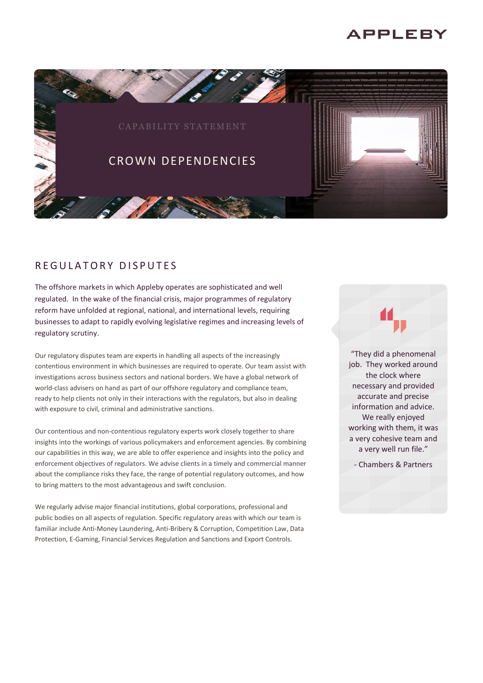# **APPLEBY**



## REGULATORY DISPUTES

The offshore markets in which Appleby operates are sophisticated and well regulated. In the wake of the financial crisis, major programmes of regulatory reform have unfolded at regional, national, and international levels, requiring businesses to adapt to rapidly evolving legislative regimes and increasing levels of regulatory scrutiny.

Our regulatory disputes team are experts in handling all aspects of the increasingly contentious environment in which businesses are required to operate. Our team assist with investigations across business sectors and national borders. We have a global network of world-class advisers on hand as part of our offshore regulatory and compliance team, ready to help clients not only in their interactions with the regulators, but also in dealing with exposure to civil, criminal and administrative sanctions.

Our contentious and non-contentious regulatory experts work closely together to share insights into the workings of various policymakers and enforcement agencies. By combining our capabilities in this way, we are able to offer experience and insights into the policy and enforcement objectives of regulators. We advise clients in a timely and commercial manner about the compliance risks they face, the range of potential regulatory outcomes, and how to bring matters to the most advantageous and swift conclusion.

We regularly advise major financial institutions, global corporations, professional and public bodies on all aspects of regulation. Specific regulatory areas with which our team is familiar include Anti-Money Laundering, Anti-Bribery & Corruption, Competition Law, Data Protection, E-Gaming, Financial Services Regulation and Sanctions and Export Controls.

"They did a phenomenal job. They worked around the clock where necessary and provided accurate and precise information and advice. We really enjoyed working with them, it was a very cohesive team and a very well run file."

- Chambers & Partners